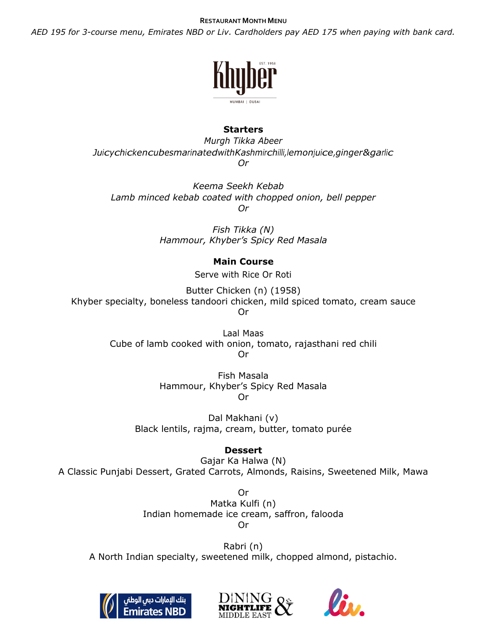#### **RESTAURANT MONTH MENU**

*AED 195 for 3-course menu, Emirates NBD or Liv. Cardholders pay AED 175 when paying with bank card.*



# **Starters**

*Murgh Tikka Abeer JuicychickencubesmarinatedwithKashmirchilli,lemonjuice,ginger&garlic Or*

*Keema Seekh Kebab Lamb minced kebab coated with chopped onion, bell pepper Or*

> *Fish Tikka (N) Hammour, Khyber's Spicy Red Masala*

# **Main Course**

Serve with Rice Or Roti

Butter Chicken (n) (1958) Khyber specialty, boneless tandoori chicken, mild spiced tomato, cream sauce Or

> Laal Maas Cube of lamb cooked with onion, tomato, rajasthani red chili Or

> > Fish Masala Hammour, Khyber's Spicy Red Masala Or

Dal Makhani (v) Black lentils, rajma, cream, butter, tomato purée

# **Dessert**

Gajar Ka Halwa (N) A Classic Punjabi Dessert, Grated Carrots, Almonds, Raisins, Sweetened Milk, Mawa

> Or Matka Kulfi (n) Indian homemade ice cream, saffron, falooda Or

Rabri (n) A North Indian specialty, sweetened milk, chopped almond, pistachio.





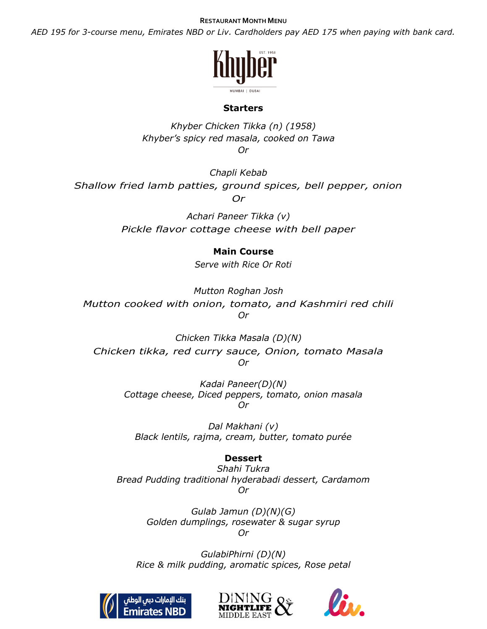#### **RESTAURANT MONTH MENU**

*AED 195 for 3-course menu, Emirates NBD or Liv. Cardholders pay AED 175 when paying with bank card.*



#### **Starters**

*Khyber Chicken Tikka (n) (1958) Khyber's spicy red masala, cooked on Tawa Or*

*Chapli Kebab Shallow fried lamb patties, ground spices, bell pepper, onion Or*

> *Achari Paneer Tikka (v) Pickle flavor cottage cheese with bell paper*

### **Main Course**

*Serve with Rice Or Roti*

*Mutton Roghan Josh Mutton cooked with onion, tomato, and Kashmiri red chili Or*

*Chicken Tikka Masala (D)(N) Chicken tikka, red curry sauce, Onion, tomato Masala Or*

> *Kadai Paneer(D)(N) Cottage cheese, Diced peppers, tomato, onion masala Or*

*Dal Makhani (v) Black lentils, rajma, cream, butter, tomato purée*

# **Dessert**

*Shahi Tukra Bread Pudding traditional hyderabadi dessert, Cardamom Or*

> *Gulab Jamun (D)(N)(G) Golden dumplings, rosewater & sugar syrup Or*

*GulabiPhirni (D)(N) Rice & milk pudding, aromatic spices, Rose petal*